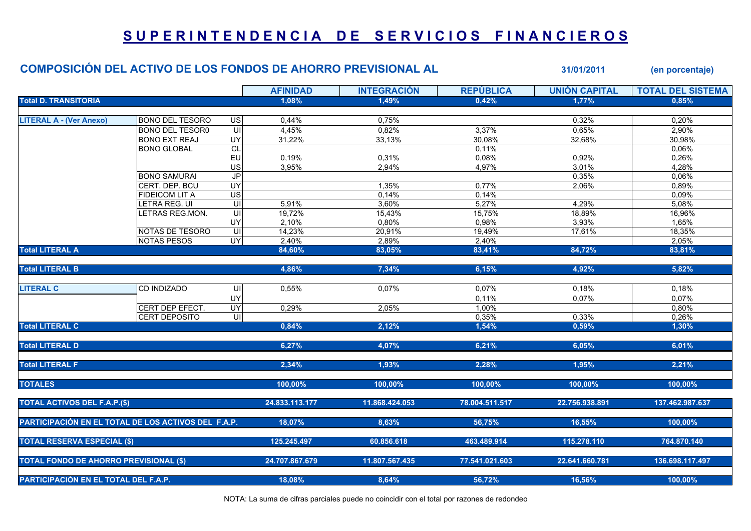## SUPERINTENDENCIA DE SERVICIOS FINANCIEROS

|                                                     | COMPOSICIÓN DEL ACTIVO DE LOS FONDOS DE AHORRO PREVISIONAL AL |                                           |                 |                    |                  | 31/01/2011           | (en porcentaje)          |
|-----------------------------------------------------|---------------------------------------------------------------|-------------------------------------------|-----------------|--------------------|------------------|----------------------|--------------------------|
|                                                     |                                                               |                                           | <b>AFINIDAD</b> | <b>INTEGRACIÓN</b> | <b>REPÚBLICA</b> | <b>UNIÓN CAPITAL</b> | <b>TOTAL DEL SISTEMA</b> |
| <b>Total D. TRANSITORIA</b>                         |                                                               |                                           | 1,08%           | 1,49%              | 0,42%            | 1,77%                | 0,85%                    |
|                                                     |                                                               |                                           |                 |                    |                  |                      |                          |
| <b>LITERAL A - (Ver Anexo)</b>                      | <b>BONO DEL TESORO</b>                                        | US                                        | 0,44%           | 0,75%              |                  | 0,32%                | 0,20%                    |
|                                                     | <b>BONO DEL TESOR0</b>                                        | $\overline{\mathsf{c}}$                   | 4,45%           | 0,82%              | 3,37%            | 0,65%                | 2,90%                    |
|                                                     | <b>BONO EXT REAJ</b>                                          | UY <sub></sub>                            | 31,22%          | 33,13%             | 30,08%           | 32,68%               | 30,98%                   |
|                                                     | <b>BONO GLOBAL</b>                                            | CL                                        |                 |                    | 0,11%            |                      | 0,06%                    |
|                                                     |                                                               | <b>EU</b>                                 | 0,19%           | 0,31%              | 0,08%            | 0,92%                | 0,26%                    |
|                                                     |                                                               | US<br>$\overline{J}$                      | 3,95%           | 2,94%              | 4,97%            | 3,01%                | 4,28%<br>0,06%           |
|                                                     | <b>BONO SAMURAI</b><br>CERT. DEP. BCU                         | <b>UY</b>                                 |                 | 1,35%              | 0,77%            | 0,35%<br>2,06%       | 0,89%                    |
|                                                     | <b>FIDEICOM LIT A</b>                                         |                                           |                 |                    | 0,14%            |                      | 0,09%                    |
|                                                     | LETRA REG. UI                                                 | $\overline{S}$<br>$\overline{\mathsf{c}}$ | 5,91%           | 0,14%<br>3,60%     | 5,27%            | 4,29%                | 5,08%                    |
|                                                     | LETRAS REG.MON.                                               | $\equiv$                                  | 19,72%          | 15,43%             | 15,75%           | 18,89%               | 16,96%                   |
|                                                     |                                                               | <b>UY</b>                                 |                 | 0,80%              | 0,98%            | 3,93%                | 1,65%                    |
|                                                     | NOTAS DE TESORO                                               | UI                                        | 2,10%<br>14,23% | 20,91%             | 19,49%           | 17,61%               | 18,35%                   |
|                                                     | <b>NOTAS PESOS</b>                                            | UY                                        | 2,40%           | 2,89%              | 2,40%            |                      | 2,05%                    |
| <b>Total LITERAL A</b>                              |                                                               |                                           | 84,60%          | 83,05%             | 83,41%           | 84,72%               | 83,81%                   |
|                                                     |                                                               |                                           |                 |                    |                  |                      |                          |
| <b>Total LITERAL B</b>                              |                                                               |                                           | 4,86%           | 7,34%              | 6,15%            | 4,92%                | 5,82%                    |
|                                                     |                                                               |                                           |                 |                    |                  |                      |                          |
| <b>LITERAL C</b>                                    | CD INDIZADO                                                   | UI                                        | 0,55%           | 0,07%              | 0,07%            | 0,18%                | 0,18%                    |
|                                                     |                                                               | UY                                        |                 |                    | 0,11%            | 0,07%                | 0,07%                    |
|                                                     | CERT DEP EFECT.                                               | UY                                        | 0,29%           | 2,05%              | 1,00%            |                      | 0,80%                    |
|                                                     | <b>CERT DEPOSITO</b>                                          | $\subseteq$                               |                 |                    | 0,35%            | 0,33%                | 0,26%                    |
| <b>Total LITERAL C</b>                              |                                                               |                                           | 0,84%           | 2,12%              | 1,54%            | 0,59%                | 1,30%                    |
| <b>Total LITERAL D</b>                              |                                                               |                                           | 6,27%           | 4,07%              | 6,21%            | 6,05%                | 6,01%                    |
| <b>Total LITERAL F</b>                              |                                                               |                                           | 2,34%           | 1,93%              | 2,28%            | 1,95%                | 2,21%                    |
|                                                     |                                                               |                                           |                 |                    |                  |                      |                          |
| <b>TOTALES</b>                                      |                                                               |                                           | 100,00%         | 100,00%            | 100,00%          | 100,00%              | 100,00%                  |
| <b>TOTAL ACTIVOS DEL F.A.P.(\$)</b>                 |                                                               |                                           | 24.833.113.177  | 11.868.424.053     | 78.004.511.517   | 22.756.938.891       | 137.462.987.637          |
| PARTICIPACIÓN EN EL TOTAL DE LOS ACTIVOS DEL F.A.P. |                                                               |                                           | 18,07%          | 8,63%              | 56,75%           | 16,55%               | 100,00%                  |
| <b>TOTAL RESERVA ESPECIAL (\$)</b>                  |                                                               |                                           | 125.245.497     | 60.856.618         | 463.489.914      | 115.278.110          | 764.870.140              |
|                                                     |                                                               |                                           |                 |                    |                  |                      |                          |
| <b>TOTAL FONDO DE AHORRO PREVISIONAL (\$)</b>       |                                                               |                                           | 24.707.867.679  | 11.807.567.435     | 77.541.021.603   | 22.641.660.781       | 136.698.117.497          |
| PARTICIPACIÓN EN EL TOTAL DEL F.A.P.                |                                                               |                                           | 18,08%          | 8,64%              | 56,72%           | 16,56%               | 100,00%                  |